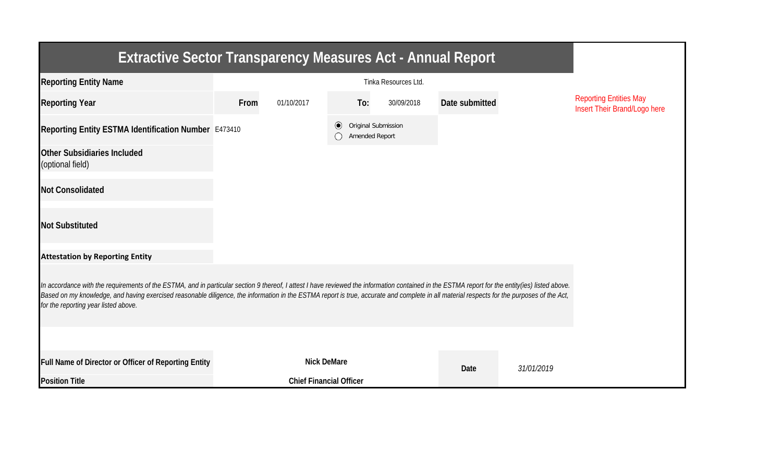| <b>Extractive Sector Transparency Measures Act - Annual Report</b>                                                                                                                                                                                                                                                                                                                                                                    |                                |                    |         |                |                     |                |            |                                                               |  |  |
|---------------------------------------------------------------------------------------------------------------------------------------------------------------------------------------------------------------------------------------------------------------------------------------------------------------------------------------------------------------------------------------------------------------------------------------|--------------------------------|--------------------|---------|----------------|---------------------|----------------|------------|---------------------------------------------------------------|--|--|
| <b>Reporting Entity Name</b>                                                                                                                                                                                                                                                                                                                                                                                                          |                                |                    |         |                |                     |                |            |                                                               |  |  |
| <b>Reporting Year</b>                                                                                                                                                                                                                                                                                                                                                                                                                 | From                           | 01/10/2017         |         | To:            | 30/09/2018          | Date submitted |            | <b>Reporting Entities May</b><br>Insert Their Brand/Logo here |  |  |
| Reporting Entity ESTMA Identification Number E473410                                                                                                                                                                                                                                                                                                                                                                                  |                                |                    | $\odot$ | Amended Report | Original Submission |                |            |                                                               |  |  |
| <b>Other Subsidiaries Included</b><br>(optional field)                                                                                                                                                                                                                                                                                                                                                                                |                                |                    |         |                |                     |                |            |                                                               |  |  |
| <b>Not Consolidated</b>                                                                                                                                                                                                                                                                                                                                                                                                               |                                |                    |         |                |                     |                |            |                                                               |  |  |
| <b>Not Substituted</b>                                                                                                                                                                                                                                                                                                                                                                                                                |                                |                    |         |                |                     |                |            |                                                               |  |  |
| <b>Attestation by Reporting Entity</b>                                                                                                                                                                                                                                                                                                                                                                                                |                                |                    |         |                |                     |                |            |                                                               |  |  |
| In accordance with the requirements of the ESTMA, and in particular section 9 thereof, I attest I have reviewed the information contained in the ESTMA report for the entity(ies) listed above.<br>Based on my knowledge, and having exercised reasonable diligence, the information in the ESTMA report is true, accurate and complete in all material respects for the purposes of the Act,<br>for the reporting year listed above. |                                |                    |         |                |                     |                |            |                                                               |  |  |
|                                                                                                                                                                                                                                                                                                                                                                                                                                       |                                |                    |         |                |                     |                |            |                                                               |  |  |
| Full Name of Director or Officer of Reporting Entity                                                                                                                                                                                                                                                                                                                                                                                  |                                | <b>Nick DeMare</b> |         |                |                     | Date           | 31/01/2019 |                                                               |  |  |
| <b>Position Title</b>                                                                                                                                                                                                                                                                                                                                                                                                                 | <b>Chief Financial Officer</b> |                    |         |                |                     |                |            |                                                               |  |  |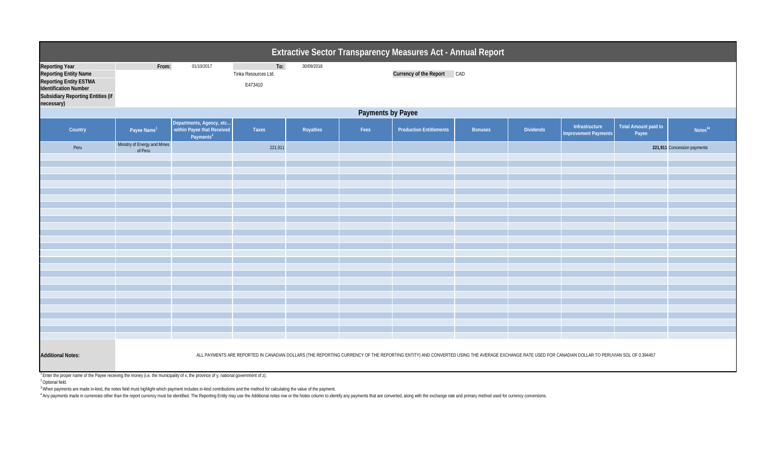|                                                                                                                                                                    | <b>Extractive Sector Transparency Measures Act - Annual Report</b>                                                                                                                                |                                                                                     |                                        |            |      |                                |                |                  |                                               |                               |                             |  |
|--------------------------------------------------------------------------------------------------------------------------------------------------------------------|---------------------------------------------------------------------------------------------------------------------------------------------------------------------------------------------------|-------------------------------------------------------------------------------------|----------------------------------------|------------|------|--------------------------------|----------------|------------------|-----------------------------------------------|-------------------------------|-----------------------------|--|
| <b>Reporting Year</b><br><b>Reporting Entity Name</b><br>Reporting Entity ESTMA<br>Identification Number<br><b>Subsidiary Reporting Entities (if</b><br>necessary) | From:                                                                                                                                                                                             | 01/10/2017                                                                          | To:<br>Tinka Resources Ltd.<br>E473410 | 30/09/2018 |      | Currency of the Report CAD     |                |                  |                                               |                               |                             |  |
|                                                                                                                                                                    | <b>Payments by Payee</b>                                                                                                                                                                          |                                                                                     |                                        |            |      |                                |                |                  |                                               |                               |                             |  |
| Country                                                                                                                                                            | Payee Name <sup>1</sup>                                                                                                                                                                           | Departments, Agency, etc  <br>  within Payee that Received<br>Payments <sup>2</sup> | Taxes                                  | Royalties  | Fees | <b>Production Entitlements</b> | <b>Bonuses</b> | <b>Dividends</b> | Infrastructure<br><b>Improvement Payments</b> | Total Amount paid to<br>Payee | Notes <sup>34</sup>         |  |
| Peru                                                                                                                                                               | Ministry of Energy and Mines<br>of Peru                                                                                                                                                           |                                                                                     | 221,911                                |            |      |                                |                |                  |                                               |                               | 221,911 Concession payments |  |
|                                                                                                                                                                    |                                                                                                                                                                                                   |                                                                                     |                                        |            |      |                                |                |                  |                                               |                               |                             |  |
|                                                                                                                                                                    |                                                                                                                                                                                                   |                                                                                     |                                        |            |      |                                |                |                  |                                               |                               |                             |  |
|                                                                                                                                                                    |                                                                                                                                                                                                   |                                                                                     |                                        |            |      |                                |                |                  |                                               |                               |                             |  |
|                                                                                                                                                                    |                                                                                                                                                                                                   |                                                                                     |                                        |            |      |                                |                |                  |                                               |                               |                             |  |
|                                                                                                                                                                    |                                                                                                                                                                                                   |                                                                                     |                                        |            |      |                                |                |                  |                                               |                               |                             |  |
|                                                                                                                                                                    |                                                                                                                                                                                                   |                                                                                     |                                        |            |      |                                |                |                  |                                               |                               |                             |  |
|                                                                                                                                                                    |                                                                                                                                                                                                   |                                                                                     |                                        |            |      |                                |                |                  |                                               |                               |                             |  |
|                                                                                                                                                                    |                                                                                                                                                                                                   |                                                                                     |                                        |            |      |                                |                |                  |                                               |                               |                             |  |
|                                                                                                                                                                    |                                                                                                                                                                                                   |                                                                                     |                                        |            |      |                                |                |                  |                                               |                               |                             |  |
|                                                                                                                                                                    |                                                                                                                                                                                                   |                                                                                     |                                        |            |      |                                |                |                  |                                               |                               |                             |  |
|                                                                                                                                                                    |                                                                                                                                                                                                   |                                                                                     |                                        |            |      |                                |                |                  |                                               |                               |                             |  |
|                                                                                                                                                                    |                                                                                                                                                                                                   |                                                                                     |                                        |            |      |                                |                |                  |                                               |                               |                             |  |
|                                                                                                                                                                    |                                                                                                                                                                                                   |                                                                                     |                                        |            |      |                                |                |                  |                                               |                               |                             |  |
|                                                                                                                                                                    |                                                                                                                                                                                                   |                                                                                     |                                        |            |      |                                |                |                  |                                               |                               |                             |  |
|                                                                                                                                                                    |                                                                                                                                                                                                   |                                                                                     |                                        |            |      |                                |                |                  |                                               |                               |                             |  |
| <b>Additional Notes:</b>                                                                                                                                           | ALL PAYMENTS ARE REPORTED IN CANADIAN DOLLARS (THE REPORTING CURRENCY OF THE REPORTING ENTITY) AND CONVERTED USING THE AVERAGE EXCHANGE RATE USED FOR CANADIAN DOLLAR TO PERUVIAN SOL OF 0.394457 |                                                                                     |                                        |            |      |                                |                |                  |                                               |                               |                             |  |

 $1$  Enter the proper name of the Payee receiving the money (i.e. the municipality of x, the province of y, national government of z).

<sup>2</sup> Optional field.

 $^3$ When payments are made in-kind, the notes field must highlight which payment includes in-kind contributions and the method for calculating the value of the payment.

<sup>4</sup> Any payments made in currencies other than the report currency must be identified. The Reporting Entity may use the Additional notes row or the Notes column to identify any payments that are converted, along with the e